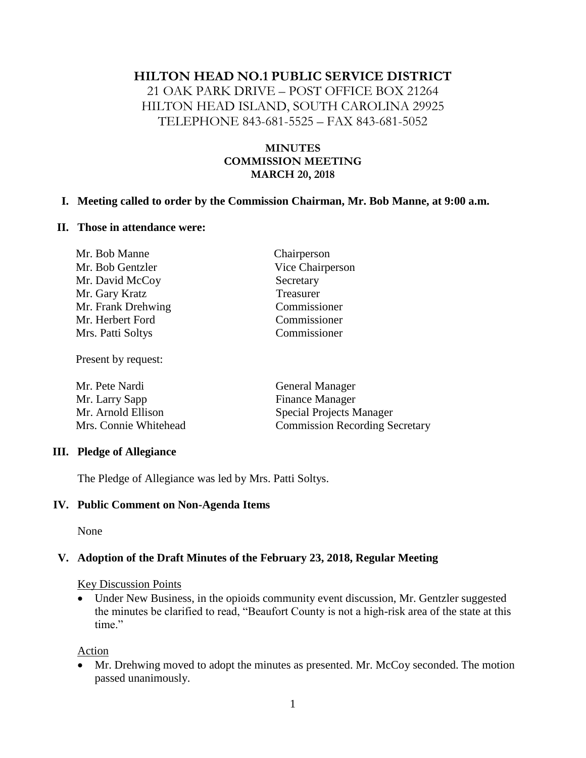### **HILTON HEAD NO.1 PUBLIC SERVICE DISTRICT**

21 OAK PARK DRIVE – POST OFFICE BOX 21264 HILTON HEAD ISLAND, SOUTH CAROLINA 29925 TELEPHONE 843-681-5525 – FAX 843-681-5052

### **MINUTES COMMISSION MEETING MARCH 20, 2018**

#### **I. Meeting called to order by the Commission Chairman, Mr. Bob Manne, at 9:00 a.m.**

#### **II. Those in attendance were:**

| Mr. Bob Manne      | Chairperson      |
|--------------------|------------------|
| Mr. Bob Gentzler   | Vice Chairperson |
| Mr. David McCoy    | Secretary        |
| Mr. Gary Kratz     | Treasurer        |
| Mr. Frank Drehwing | Commissioner     |
| Mr. Herbert Ford   | Commissioner     |
| Mrs. Patti Soltys  | Commissioner     |
|                    |                  |

Present by request:

| Mr. Pete Nardi        | <b>General Manager</b>                |  |
|-----------------------|---------------------------------------|--|
| Mr. Larry Sapp        | <b>Finance Manager</b>                |  |
| Mr. Arnold Ellison    | <b>Special Projects Manager</b>       |  |
| Mrs. Connie Whitehead | <b>Commission Recording Secretary</b> |  |

#### **III. Pledge of Allegiance**

The Pledge of Allegiance was led by Mrs. Patti Soltys.

#### **IV. Public Comment on Non-Agenda Items**

None

### **V. Adoption of the Draft Minutes of the February 23, 2018, Regular Meeting**

#### Key Discussion Points

• Under New Business, in the opioids community event discussion, Mr. Gentzler suggested the minutes be clarified to read, "Beaufort County is not a high-risk area of the state at this time."

Action

• Mr. Drehwing moved to adopt the minutes as presented. Mr. McCoy seconded. The motion passed unanimously.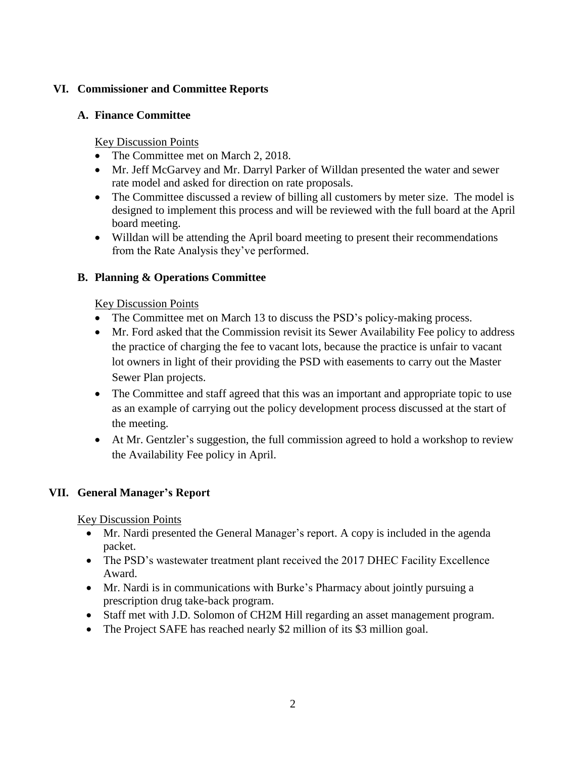## **VI. Commissioner and Committee Reports**

### **A. Finance Committee**

Key Discussion Points

- The Committee met on March 2, 2018.
- Mr. Jeff McGarvey and Mr. Darryl Parker of Willdan presented the water and sewer rate model and asked for direction on rate proposals.
- The Committee discussed a review of billing all customers by meter size. The model is designed to implement this process and will be reviewed with the full board at the April board meeting.
- Willdan will be attending the April board meeting to present their recommendations from the Rate Analysis they've performed.

## **B. Planning & Operations Committee**

Key Discussion Points

- The Committee met on March 13 to discuss the PSD's policy-making process.
- Mr. Ford asked that the Commission revisit its Sewer Availability Fee policy to address the practice of charging the fee to vacant lots, because the practice is unfair to vacant lot owners in light of their providing the PSD with easements to carry out the Master Sewer Plan projects.
- The Committee and staff agreed that this was an important and appropriate topic to use as an example of carrying out the policy development process discussed at the start of the meeting.
- At Mr. Gentzler's suggestion, the full commission agreed to hold a workshop to review the Availability Fee policy in April.

# **VII. General Manager's Report**

Key Discussion Points

- Mr. Nardi presented the General Manager's report. A copy is included in the agenda packet.
- The PSD's wastewater treatment plant received the 2017 DHEC Facility Excellence Award.
- Mr. Nardi is in communications with Burke's Pharmacy about jointly pursuing a prescription drug take-back program.
- Staff met with J.D. Solomon of CH2M Hill regarding an asset management program.
- The Project SAFE has reached nearly \$2 million of its \$3 million goal.